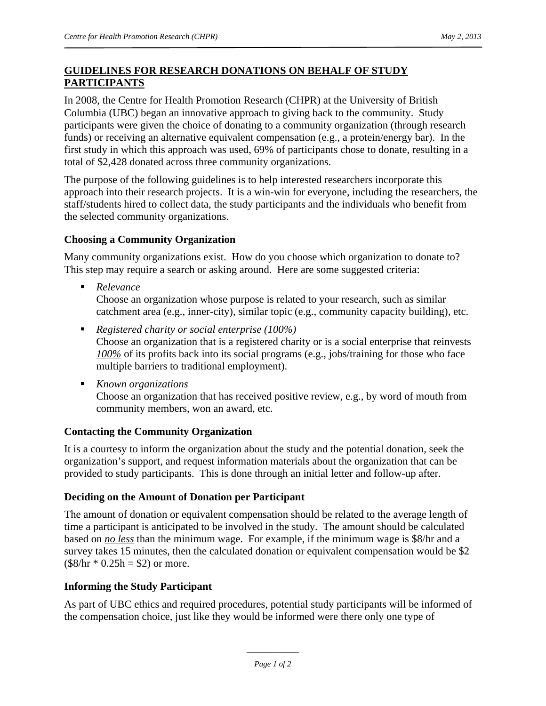# **GUIDELINES FOR RESEARCH DONATIONS ON BEHALF OF STUDY PARTICIPANTS**

In 2008, the Centre for Health Promotion Research (CHPR) at the University of British Columbia (UBC) began an innovative approach to giving back to the community. Study participants were given the choice of donating to a community organization (through research funds) or receiving an alternative equivalent compensation (e.g., a protein/energy bar). In the first study in which this approach was used, 69% of participants chose to donate, resulting in a total of \$2,428 donated across three community organizations.

The purpose of the following guidelines is to help interested researchers incorporate this approach into their research projects. It is a win-win for everyone, including the researchers, the staff/students hired to collect data, the study participants and the individuals who benefit from the selected community organizations.

## **Choosing a Community Organization**

Many community organizations exist. How do you choose which organization to donate to? This step may require a search or asking around. Here are some suggested criteria:

- *Relevance* Choose an organization whose purpose is related to your research, such as similar catchment area (e.g., inner-city), similar topic (e.g., community capacity building), etc.
- *Registered charity or social enterprise (100%)* Choose an organization that is a registered charity or is a social enterprise that reinvests *100%* of its profits back into its social programs (e.g., jobs/training for those who face multiple barriers to traditional employment).
- *Known organizations*  Choose an organization that has received positive review, e.g., by word of mouth from community members, won an award, etc.

## **Contacting the Community Organization**

It is a courtesy to inform the organization about the study and the potential donation, seek the organization's support, and request information materials about the organization that can be provided to study participants. This is done through an initial letter and follow-up after.

## **Deciding on the Amount of Donation per Participant**

The amount of donation or equivalent compensation should be related to the average length of time a participant is anticipated to be involved in the study. The amount should be calculated based on *no less* than the minimum wage. For example, if the minimum wage is \$8/hr and a survey takes 15 minutes, then the calculated donation or equivalent compensation would be \$2  $($8/hr * 0.25h = $2)$  or more.

## **Informing the Study Participant**

As part of UBC ethics and required procedures, potential study participants will be informed of the compensation choice, just like they would be informed were there only one type of